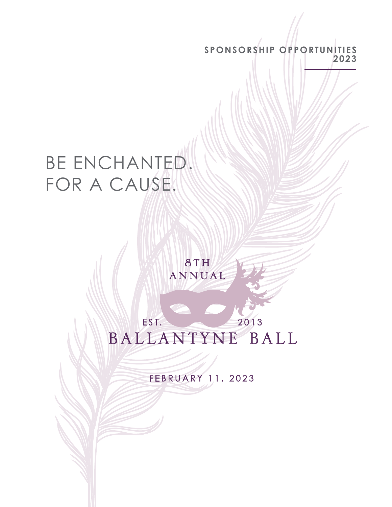**2023 SPONSORSHIP OPPORTUNITIES**

# BE ENCHANTED FOR A CAUSE.

8TH ANNUAL

BALLANTYNE BALL EST. 2013

FEBRUARY 11, 2023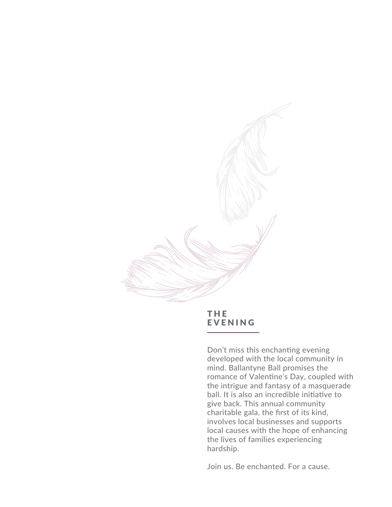

## THE EVENING

Don't miss this enchanting evening developed with the local community in mind. Ballantyne Ball promises the romance of Valentine's Day, coupled with the intrigue and fantasy of a masquerade ball. It is also an incredible initiative to give back. This annual community charitable gala, the first of its kind, involves local businesses and supports local causes with the hope of enhancing the lives of families experiencing hardship.

Join us. Be enchanted. For a cause.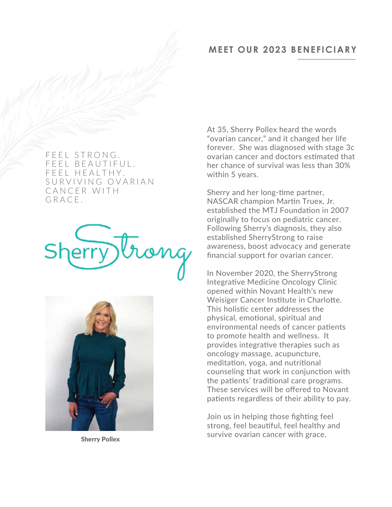# **MEET OUR 2023 BENEFICIARY**

FEEL STRONG. FEEL BEAUTIFUL. FEEL HEALTHY. SURVIVING OVARIAN CANCER WITH GRACE.





Sherry Pollex

At 35, Sherry Pollex heard the words "ovarian cancer," and it changed her life forever. She was diagnosed with stage 3c ovarian cancer and doctors estimated that her chance of survival was less than 30% within 5 years.

Sherry and her long-time partner, NASCAR champion Martin Truex, Jr. established the MTJ Foundation in 2007 originally to focus on pediatric cancer. Following Sherry's diagnosis, they also established SherryStrong to raise awareness, boost advocacy and generate financial support for ovarian cancer.

In November 2020, the SherryStrong Integrative Medicine Oncology Clinic opened within Novant Health's new Weisiger Cancer Institute in Charlotte. This holistic center addresses the physical, emotional, spiritual and environmental needs of cancer patients to promote health and wellness. It provides integrative therapies such as oncology massage, acupuncture, meditation, yoga, and nutritional counseling that work in conjunction with the patients' traditional care programs. These services will be offered to Novant patients regardless of their ability to pay.

Join us in helping those fighting feel strong, feel beautiful, feel healthy and survive ovarian cancer with grace.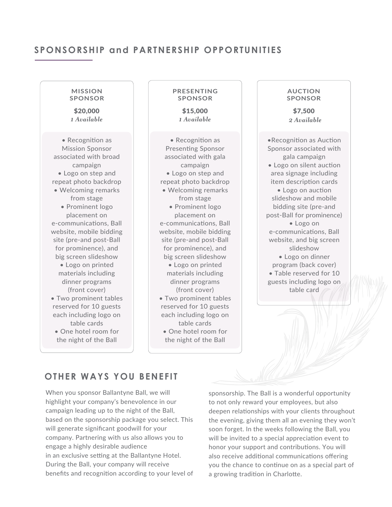## **SPONSORSHIP and PARTNERSHIP OPPORTUNITIES**

#### **MISSION SPONSOR**

• Recognition as Mission Sponsor associated with broad campaign • Logo on step and repeat photo backdrop • Welcoming remarks from stage • Prominent logo placement on e-communications, Ball website, mobile bidding site (pre-and post-Ball for prominence), and big screen slideshow • Logo on printed materials including dinner programs (front cover) • Two prominent tables reserved for 10 guests each including logo on table cards • One hotel room for the night of the Ball

#### **PRESENTING SPONSOR**

 $$20,000$   $$15,000$   $$7,500$ *1 Available 1 Available 2 Available*

> • Recognition as Presenting Sponsor associated with gala campaign • Logo on step and repeat photo backdrop • Welcoming remarks from stage • Prominent logo placement on e-communications, Ball website, mobile bidding site (pre-and post-Ball for prominence), and big screen slideshow • Logo on printed

materials including dinner programs (front cover)

- Two prominent tables reserved for 10 guests each including logo on table cards
	- One hotel room for the night of the Ball

#### **AUCTION SPONSOR**

•Recognition as Auction Sponsor associated with gala campaign • Logo on silent auction area signage including item description cards • Logo on auction slideshow and mobile bidding site (pre-and post-Ball for prominence) • Logo on e-communications, Ball website, and big screen slideshow • Logo on dinner program (back cover) • Table reserved for 10 guests including logo on table card

# **OTHER WAYS YOU BENEFIT**

When you sponsor Ballantyne Ball, we will highlight your company's benevolence in our campaign leading up to the night of the Ball, based on the sponsorship package you select. This will generate significant goodwill for your company. Partnering with us also allows you to engage a highly desirable audience in an exclusive setting at the Ballantyne Hotel. During the Ball, your company will receive benefits and recognition according to your level of

sponsorship. The Ball is a wonderful opportunity to not only reward your employees, but also deepen relationships with your clients throughout the evening, giving them all an evening they won't soon forget. In the weeks following the Ball, you will be invited to a special appreciation event to honor your support and contributions. You will also receive additional communications offering you the chance to continue on as a special part of a growing tradition in Charlotte.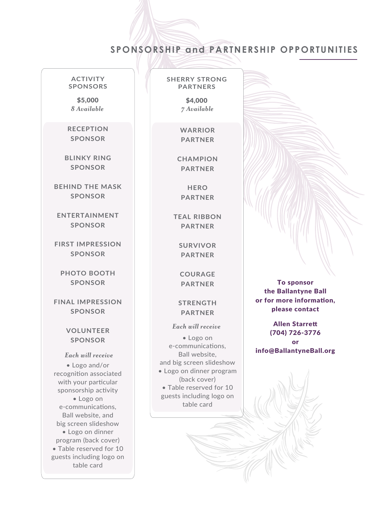# **SPONSORSHIP and PARTNERSHIP OPPORTUNITIES**

#### **ACTIVITY SPONSORS**

\$5,000 *8 Available 7 Available*

**RECEPTION SPONSOR**

**BLINKY RING SPONSOR** 

**BEHIND THE MASK SPONSOR** 

**ENTERTAINMENT SPONSOR** 

**FIRST IMPRESSION SPONSOR**

**PHOTO BOOTH SPONSOR**

**FINAL IMPRESSION SPONSOR** 

### **VOLUNTEER SPONSOR**

• Logo and/or recognition associated with your particular sponsorship activity • Logo on e-communications, Ball website, and big screen slideshow • Logo on dinner program (back cover) • Table reserved for 10 guests including logo on table card *Each will receive*

#### **SHERRY STRONG PARTNERS**

\$4,000

**WARRIOR PARTNER**

**CHAMPION PARTNER**

**HERO PARTNER**

**TEAL RIBBON PARTNER**

> **SURVIVOR PARTNER**

**COURAGE PARTNER**

## **STRENGTH PARTNER**

*Each will receive*

• Logo on e-communications, Ball website, and big screen slideshow • Logo on dinner program (back cover) • Table reserved for 10 guests including logo on table card

To sponsor the Ballantyne Ball or for more information, please contact

Allen Starrett (704) 726-3776 or info@BallantyneBall.org